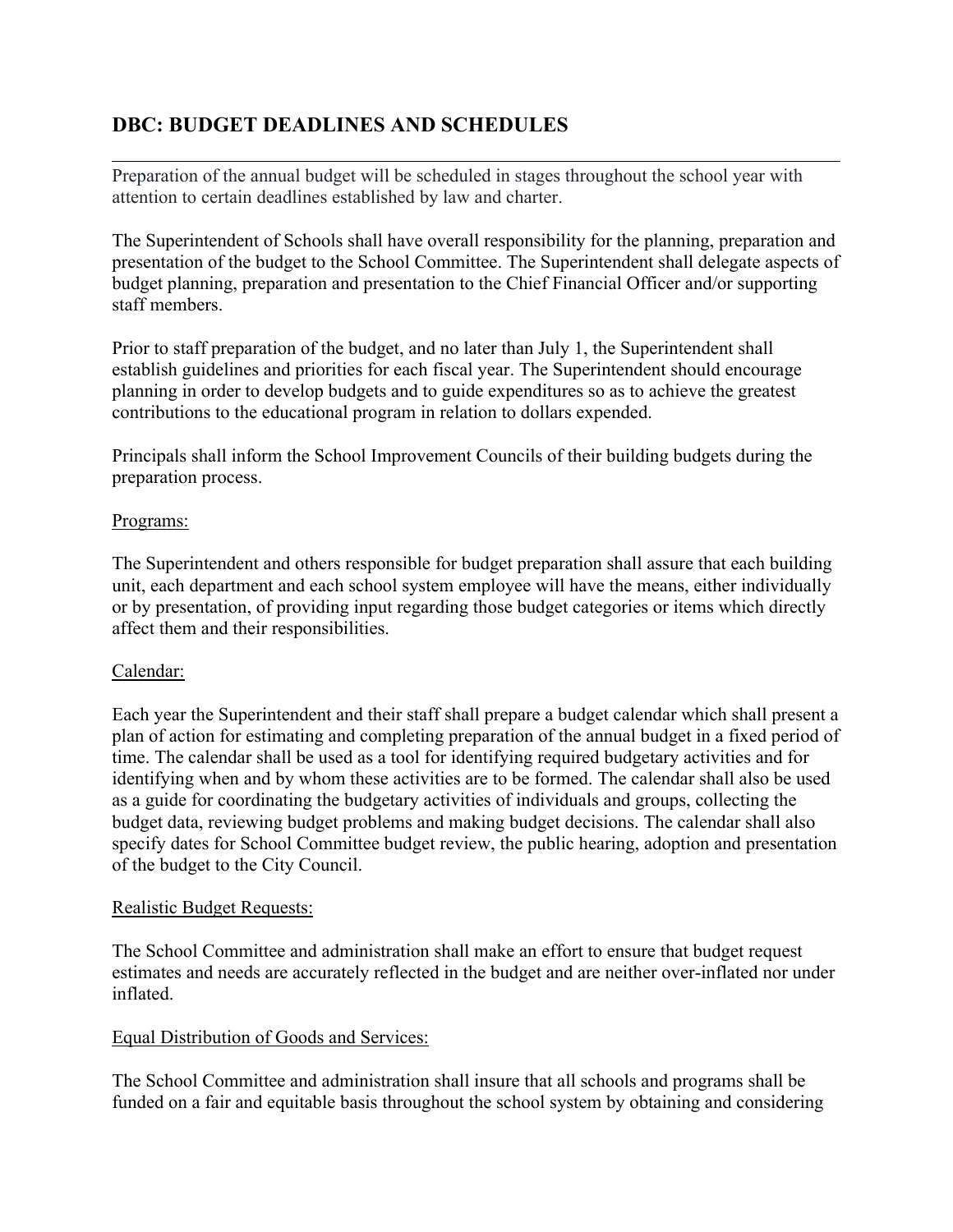# **DBC: BUDGET DEADLINES AND SCHEDULES**

Preparation of the annual budget will be scheduled in stages throughout the school year with attention to certain deadlines established by law and charter.

The Superintendent of Schools shall have overall responsibility for the planning, preparation and presentation of the budget to the School Committee. The Superintendent shall delegate aspects of budget planning, preparation and presentation to the Chief Financial Officer and/or supporting staff members.

Prior to staff preparation of the budget, and no later than July 1, the Superintendent shall establish guidelines and priorities for each fiscal year. The Superintendent should encourage planning in order to develop budgets and to guide expenditures so as to achieve the greatest contributions to the educational program in relation to dollars expended.

Principals shall inform the School Improvement Councils of their building budgets during the preparation process.

## Programs:

The Superintendent and others responsible for budget preparation shall assure that each building unit, each department and each school system employee will have the means, either individually or by presentation, of providing input regarding those budget categories or items which directly affect them and their responsibilities.

## Calendar:

Each year the Superintendent and their staff shall prepare a budget calendar which shall present a plan of action for estimating and completing preparation of the annual budget in a fixed period of time. The calendar shall be used as a tool for identifying required budgetary activities and for identifying when and by whom these activities are to be formed. The calendar shall also be used as a guide for coordinating the budgetary activities of individuals and groups, collecting the budget data, reviewing budget problems and making budget decisions. The calendar shall also specify dates for School Committee budget review, the public hearing, adoption and presentation of the budget to the City Council.

#### Realistic Budget Requests:

The School Committee and administration shall make an effort to ensure that budget request estimates and needs are accurately reflected in the budget and are neither over-inflated nor under inflated.

#### Equal Distribution of Goods and Services:

The School Committee and administration shall insure that all schools and programs shall be funded on a fair and equitable basis throughout the school system by obtaining and considering